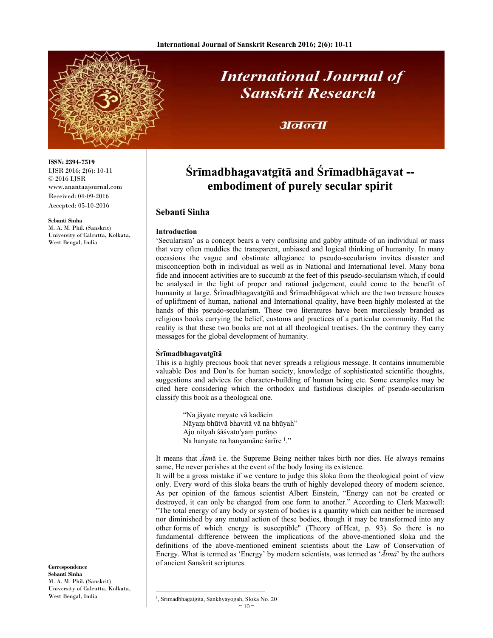

# **International Journal of Sanskrit Research**

## अनन्ता

#### **ISSN: 2394-7519** IJSR 2016; 2(6): 10-11

© 2016 IJSR www.anantaajournal.com Received: 04-09-2016 Accepted: 05-10-2016

#### **Sebanti Sinha**

M. A. M. Phil. (Sanskrit) University of Calcutta, Kolkata, West Bengal, India

**Śrīmadbhagavatgītā and Śrīmadbhāgavat - embodiment of purely secular spirit** 

### **Sebanti Sinha**

#### **Introduction**

'Secularism' as a concept bears a very confusing and gabby attitude of an individual or mass that very often muddies the transparent, unbiased and logical thinking of humanity. In many occasions the vague and obstinate allegiance to pseudo-secularism invites disaster and misconception both in individual as well as in National and International level. Many bona fide and innocent activities are to succumb at the feet of this pseudo-secularism which, if could be analysed in the light of proper and rational judgement, could come to the benefit of humanity at large. Śrīmadbhagavatgītā and Śrīmadbhāgavat which are the two treasure houses of upliftment of human, national and International quality, have been highly molested at the hands of this pseudo-secularism. These two literatures have been mercilessly branded as religious books carrying the belief, customs and practices of a particular community. But the reality is that these two books are not at all theological treatises. On the contrary they carry messages for the global development of humanity.

#### **Śrīmadbhagavatgītā**

This is a highly precious book that never spreads a religious message. It contains innumerable valuable Dos and Don'ts for human society, knowledge of sophisticated scientific thoughts, suggestions and advices for character-building of human being etc. Some examples may be cited here considering which the orthodox and fastidious disciples of pseudo-secularism classify this book as a theological one.

"Na jāyate mṛyate vā kadācin Nāyaṃ bhūtvā bhavitā vā na bhūyah" Ajo nityah śāśvato'yaṃ purāṇo Na hanyate na hanyamāne śarīre <sup>1</sup>."

It means that *Ātm*ā i.e. the Supreme Being neither takes birth nor dies. He always remains same, He never perishes at the event of the body losing its existence.

It will be a gross mistake if we venture to judge this śloka from the theological point of view only. Every word of this śloka bears the truth of highly developed theory of modern science. As per opinion of the famous scientist Albert Einstein, "Energy can not be created or destroyed, it can only be changed from one form to another." According to Clerk Maxwell: "The total energy of any body or system of bodies is a quantity which can neither be increased nor diminished by any mutual action of these bodies, though it may be transformed into any other forms of which energy is susceptible" (Theory of Heat, p. 93). So there is no fundamental difference between the implications of the above-mentioned śloka and the definitions of the above-mentioned eminent scientists about the Law of Conservation of Energy. What is termed as 'Energy' by modern scientists, was termed as '*Ātmā*' by the authors of ancient Sanskrit scriptures.

**Correspondence Sebanti Sinha**  M. A. M. Phil. (Sanskrit) University of Calcutta, Kolkata, West Bengal, India

 $~10~$  <sup>1</sup>, Srimadbhagatgita, Sankhyayogah, Sloka No. 20